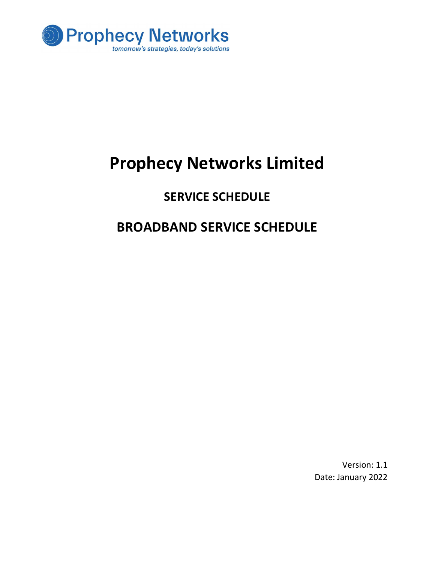

# Prophecy Networks Limited

### SERVICE SCHEDULE

## BROADBAND SERVICE SCHEDULE

Version: 1.1 Date: January 2022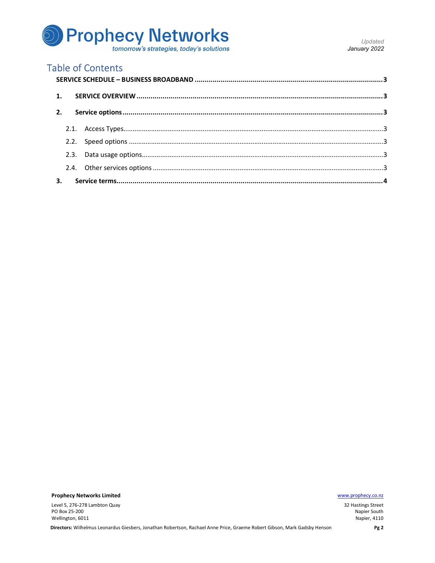

### **Table of Contents**

|    | 2. |  |  |
|----|----|--|--|
|    |    |  |  |
|    |    |  |  |
|    |    |  |  |
|    |    |  |  |
| 3. |    |  |  |

**Prophecy Networks Limited** 

Level 5, 276-278 Lambton Quay PO Box 25-200 Wellington, 6011

www.prophecy.co.nz

32 Hastings Street Napier South Napier, 4110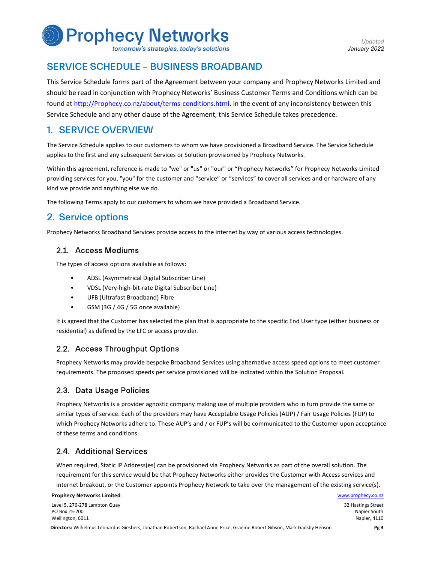

tomorrow's strategies, today's solutions

Updated January 2022

#### SERVICE SCHEDULE – BUSINESS BROADBAND

This Service Schedule forms part of the Agreement between your company and Prophecy Networks Limited and should be read in conjunction with Prophecy Networks' Business Customer Terms and Conditions which can be found at http://Prophecy.co.nz/about/terms-conditions.html. In the event of any inconsistency between this Service Schedule and any other clause of the Agreement, this Service Schedule takes precedence.

#### 1. SERVICE OVERVIEW

The Service Schedule applies to our customers to whom we have provisioned a Broadband Service. The Service Schedule applies to the first and any subsequent Services or Solution provisioned by Prophecy Networks.

Within this agreement, reference is made to "we" or "us" or "our" or "Prophecy Networks" for Prophecy Networks Limited providing services for you, "you" for the customer and "service" or "services" to cover all services and or hardware of any kind we provide and anything else we do.

The following Terms apply to our customers to whom we have provided a Broadband Service.

#### 2. Service options

Prophecy Networks Broadband Services provide access to the internet by way of various access technologies.

#### 2.1. Access Mediums

- 
- The types of access options available as follows:<br>
ADSL (Asymmetrical Digital Subscriber Line)<br>
VDSL (Very-high-bit-rate Digital Subscriber Line)<br>
UFB (Ultrafast Broadband) Fibre<br>
GSM (3G / 4G / 5G once available)
	-
	-

It is agreed that the Customer has selected the plan that is appropriate to the specific End User type (either business or residential) as defined by the LFC or access provider.

#### 2.2. Access Throughput Options

Prophecy Networks may provide bespoke Broadband Services using alternative access speed options to meet customer requirements. The proposed speeds per service provisioned will be indicated within the Solution Proposal.

#### 2.3. Data Usage Policies

Prophecy Networks is a provider agnostic company making use of multiple providers who in turn provide the same or similar types of service. Each of the providers may have Acceptable Usage Policies (AUP) / Fair Usage Policies (FUP) to which Prophecy Networks adhere to. These AUP's and / or FUP's will be communicated to the Customer upon acceptance of these terms and conditions.

#### 2.4. Additional Services

When required, Static IP Address(es) can be provisioned via Prophecy Networks as part of the overall solution. The requirement for this service would be that Prophecy Networks either provides the Customer with Access services and internet breakout, or the Customer appoints Prophecy Network to take over the management of the existing service(s).

#### **Prophecy Networks Limited Water and Service Controller and Service Controller and Service Controller and Service Controller and Service Controller and Service Controller and Service Controller and Service Controller and S**

Level 5, 276-278 Lambton Quay PO Box 25-200 Wellington, 6011

32 Hastings Street Napier South Napier, 4110